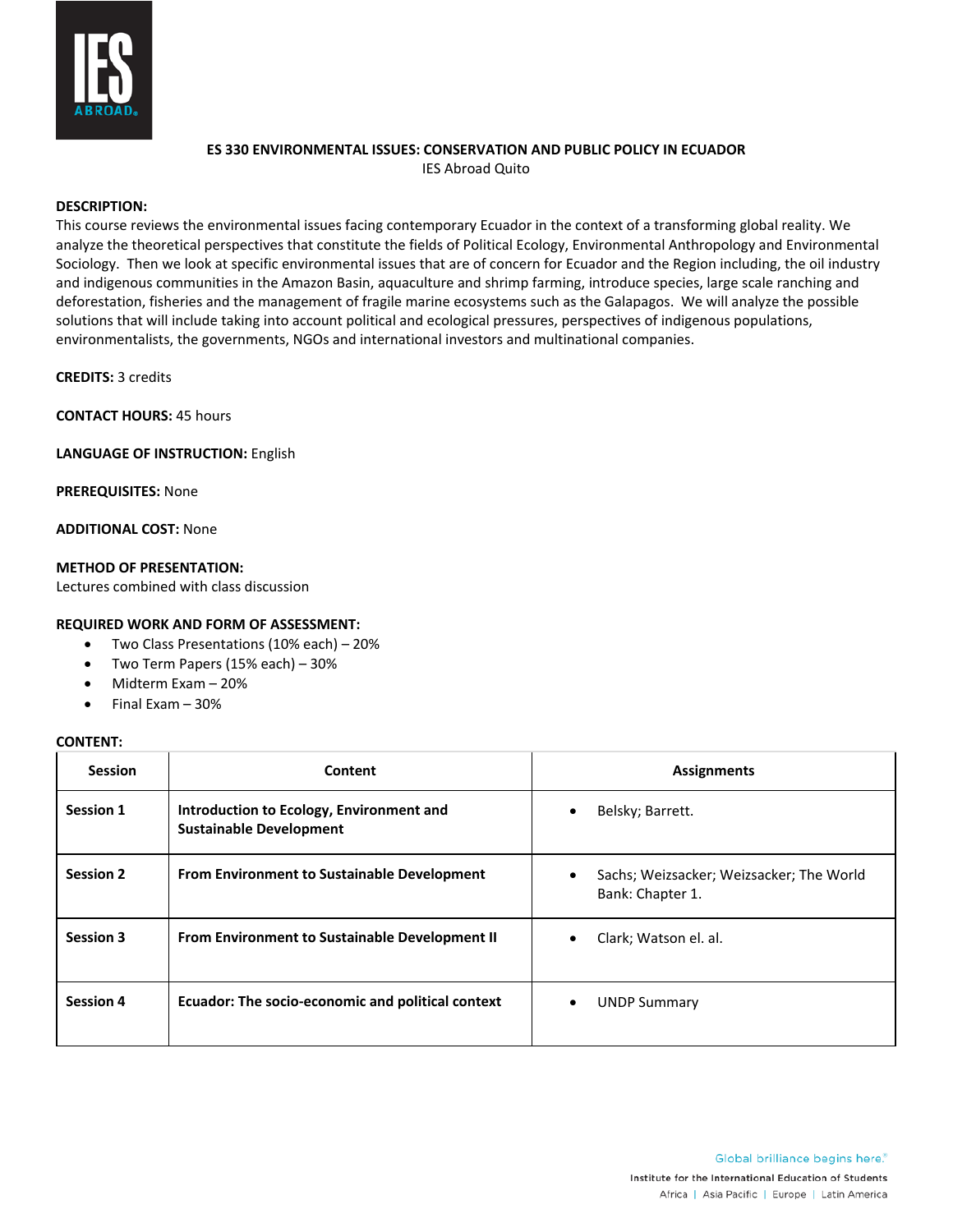

# **ES 330 ENVIRONMENTAL ISSUES: CONSERVATION AND PUBLIC POLICY IN ECUADOR**

IES Abroad Quito

# **DESCRIPTION:**

This course reviews the environmental issues facing contemporary Ecuador in the context of a transforming global reality. We analyze the theoretical perspectives that constitute the fields of Political Ecology, Environmental Anthropology and Environmental Sociology. Then we look at specific environmental issues that are of concern for Ecuador and the Region including, the oil industry and indigenous communities in the Amazon Basin, aquaculture and shrimp farming, introduce species, large scale ranching and deforestation, fisheries and the management of fragile marine ecosystems such as the Galapagos. We will analyze the possible solutions that will include taking into account political and ecological pressures, perspectives of indigenous populations, environmentalists, the governments, NGOs and international investors and multinational companies.

**CREDITS:** 3 credits

**CONTACT HOURS:** 45 hours

**LANGUAGE OF INSTRUCTION:** English

**PREREQUISITES:** None

**ADDITIONAL COST:** None

### **METHOD OF PRESENTATION:**

Lectures combined with class discussion

### **REQUIRED WORK AND FORM OF ASSESSMENT:**

- Two Class Presentations (10% each) 20%
- Two Term Papers (15% each) 30%
- Midterm Exam 20%
- Final Exam 30%

#### **CONTENT:**

| <b>Session</b>   | Content                                                                    | <b>Assignments</b>                                           |
|------------------|----------------------------------------------------------------------------|--------------------------------------------------------------|
| Session 1        | Introduction to Ecology, Environment and<br><b>Sustainable Development</b> | Belsky; Barrett.                                             |
| <b>Session 2</b> | <b>From Environment to Sustainable Development</b>                         | Sachs; Weizsacker; Weizsacker; The World<br>Bank: Chapter 1. |
| <b>Session 3</b> | From Environment to Sustainable Development II                             | Clark; Watson el. al.                                        |
| <b>Session 4</b> | Ecuador: The socio-economic and political context                          | <b>UNDP Summary</b>                                          |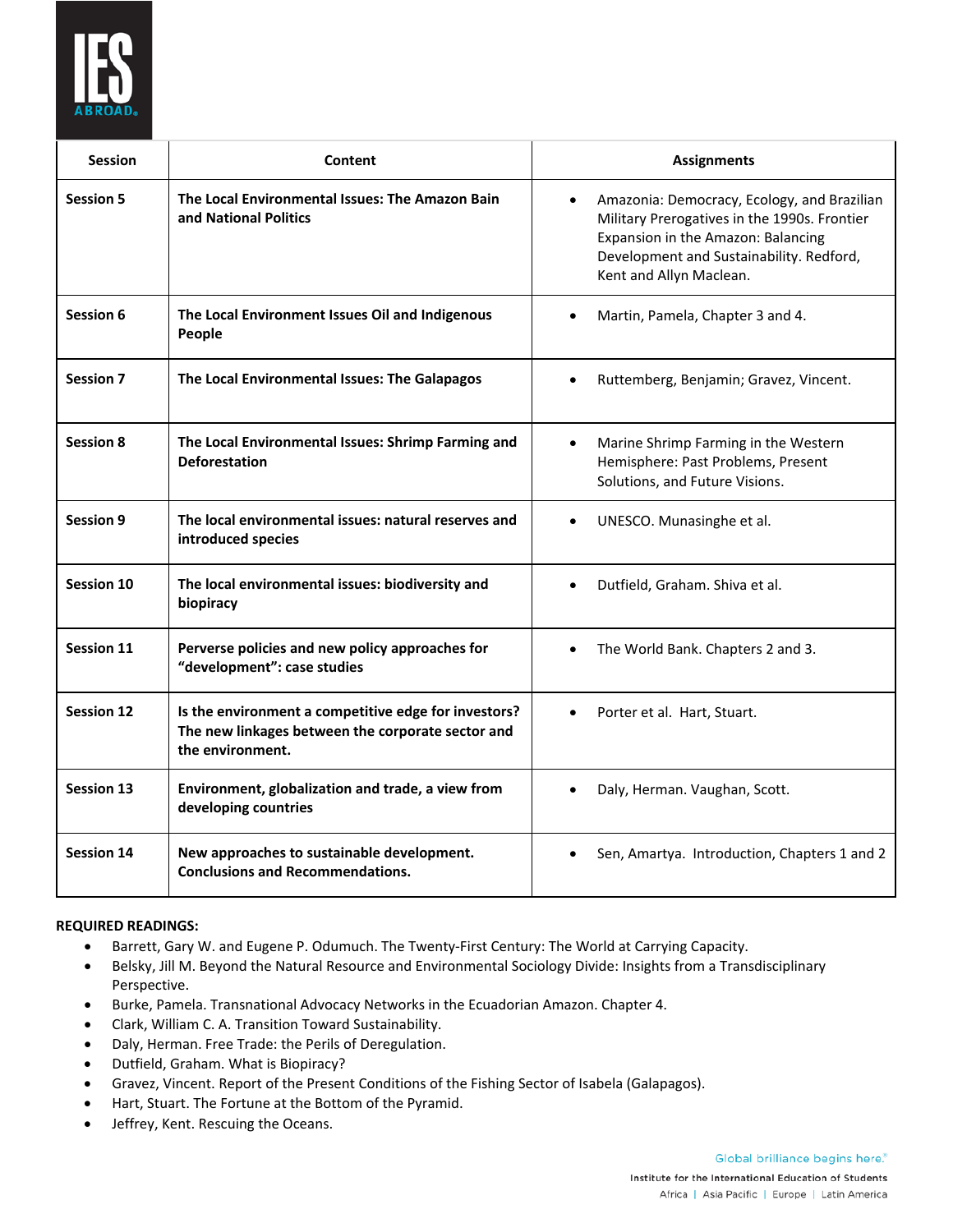

| <b>Session</b>    | Content                                                                                                                       | <b>Assignments</b>                                                                                                                                                                                       |
|-------------------|-------------------------------------------------------------------------------------------------------------------------------|----------------------------------------------------------------------------------------------------------------------------------------------------------------------------------------------------------|
| <b>Session 5</b>  | The Local Environmental Issues: The Amazon Bain<br>and National Politics                                                      | Amazonia: Democracy, Ecology, and Brazilian<br>Military Prerogatives in the 1990s. Frontier<br>Expansion in the Amazon: Balancing<br>Development and Sustainability. Redford,<br>Kent and Allyn Maclean. |
| Session 6         | The Local Environment Issues Oil and Indigenous<br>People                                                                     | Martin, Pamela, Chapter 3 and 4.                                                                                                                                                                         |
| <b>Session 7</b>  | The Local Environmental Issues: The Galapagos                                                                                 | Ruttemberg, Benjamin; Gravez, Vincent.                                                                                                                                                                   |
| <b>Session 8</b>  | The Local Environmental Issues: Shrimp Farming and<br><b>Deforestation</b>                                                    | Marine Shrimp Farming in the Western<br>Hemisphere: Past Problems, Present<br>Solutions, and Future Visions.                                                                                             |
| <b>Session 9</b>  | The local environmental issues: natural reserves and<br>introduced species                                                    | UNESCO. Munasinghe et al.                                                                                                                                                                                |
| <b>Session 10</b> | The local environmental issues: biodiversity and<br>biopiracy                                                                 | Dutfield, Graham. Shiva et al.                                                                                                                                                                           |
| <b>Session 11</b> | Perverse policies and new policy approaches for<br>"development": case studies                                                | The World Bank. Chapters 2 and 3.                                                                                                                                                                        |
| <b>Session 12</b> | Is the environment a competitive edge for investors?<br>The new linkages between the corporate sector and<br>the environment. | Porter et al. Hart, Stuart.                                                                                                                                                                              |
| <b>Session 13</b> | Environment, globalization and trade, a view from<br>developing countries                                                     | Daly, Herman. Vaughan, Scott.                                                                                                                                                                            |
| <b>Session 14</b> | New approaches to sustainable development.<br><b>Conclusions and Recommendations.</b>                                         | Sen, Amartya. Introduction, Chapters 1 and 2                                                                                                                                                             |

## **REQUIRED READINGS:**

- Barrett, Gary W. and Eugene P. Odumuch. The Twenty-First Century: The World at Carrying Capacity.
- Belsky, Jill M. Beyond the Natural Resource and Environmental Sociology Divide: Insights from a Transdisciplinary Perspective.
- Burke, Pamela. Transnational Advocacy Networks in the Ecuadorian Amazon. Chapter 4.
- Clark, William C. A. Transition Toward Sustainability.
- Daly, Herman. Free Trade: the Perils of Deregulation.
- Dutfield, Graham. What is Biopiracy?
- Gravez, Vincent. Report of the Present Conditions of the Fishing Sector of Isabela (Galapagos).
- Hart, Stuart. The Fortune at the Bottom of the Pyramid.
- Jeffrey, Kent. Rescuing the Oceans.